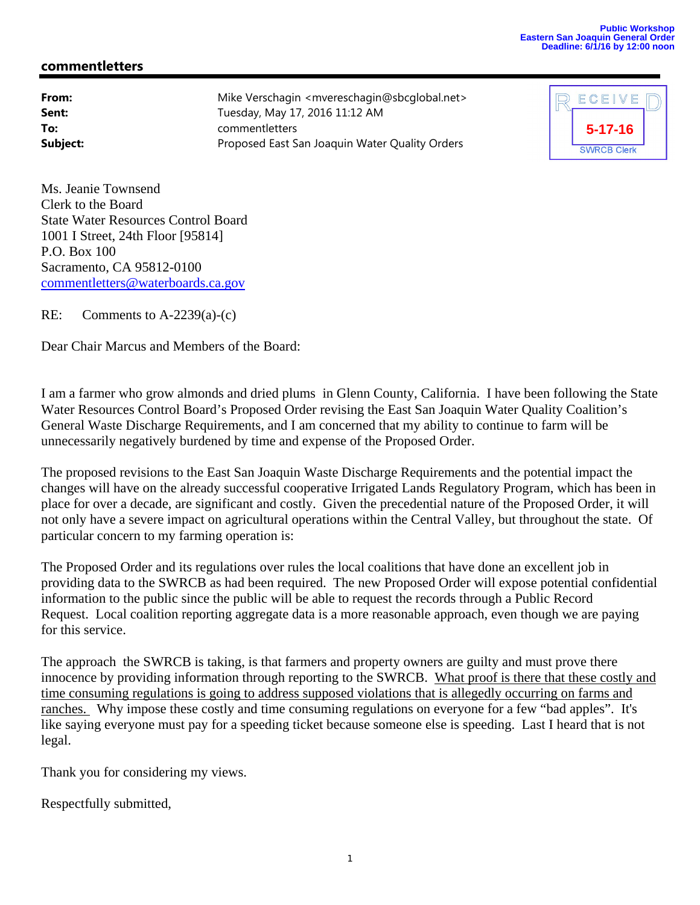## **Public Workshop Eastern San Joaquin General Order Deadline: 6/1/16 by 12:00 noon**

## **commentletters**

| From:    | Mike Verschagin < mvereschagin@sbcglobal.net>  |
|----------|------------------------------------------------|
| Sent:    | Tuesday, May 17, 2016 11:12 AM                 |
| To:      | commentletters                                 |
| Subject: | Proposed East San Joaquin Water Quality Orders |

| ECEIVE             |  |
|--------------------|--|
| $5 - 17 - 16$      |  |
| <b>SWRCB Clerk</b> |  |

Ms. Jeanie Townsend Clerk to the Board State Water Resources Control Board 1001 I Street, 24th Floor [95814] P.O. Box 100 Sacramento, CA 95812-0100 commentletters@waterboards.ca.gov

RE: Comments to A-2239(a)-(c)

Dear Chair Marcus and Members of the Board:

I am a farmer who grow almonds and dried plums in Glenn County, California. I have been following the State Water Resources Control Board's Proposed Order revising the East San Joaquin Water Quality Coalition's General Waste Discharge Requirements, and I am concerned that my ability to continue to farm will be unnecessarily negatively burdened by time and expense of the Proposed Order.

The proposed revisions to the East San Joaquin Waste Discharge Requirements and the potential impact the changes will have on the already successful cooperative Irrigated Lands Regulatory Program, which has been in place for over a decade, are significant and costly. Given the precedential nature of the Proposed Order, it will not only have a severe impact on agricultural operations within the Central Valley, but throughout the state. Of particular concern to my farming operation is:

The Proposed Order and its regulations over rules the local coalitions that have done an excellent job in providing data to the SWRCB as had been required. The new Proposed Order will expose potential confidential information to the public since the public will be able to request the records through a Public Record Request. Local coalition reporting aggregate data is a more reasonable approach, even though we are paying for this service.

The approach the SWRCB is taking, is that farmers and property owners are guilty and must prove there innocence by providing information through reporting to the SWRCB. What proof is there that these costly and time consuming regulations is going to address supposed violations that is allegedly occurring on farms and ranches. Why impose these costly and time consuming regulations on everyone for a few "bad apples". It's like saying everyone must pay for a speeding ticket because someone else is speeding. Last I heard that is not legal.

Thank you for considering my views.

Respectfully submitted,